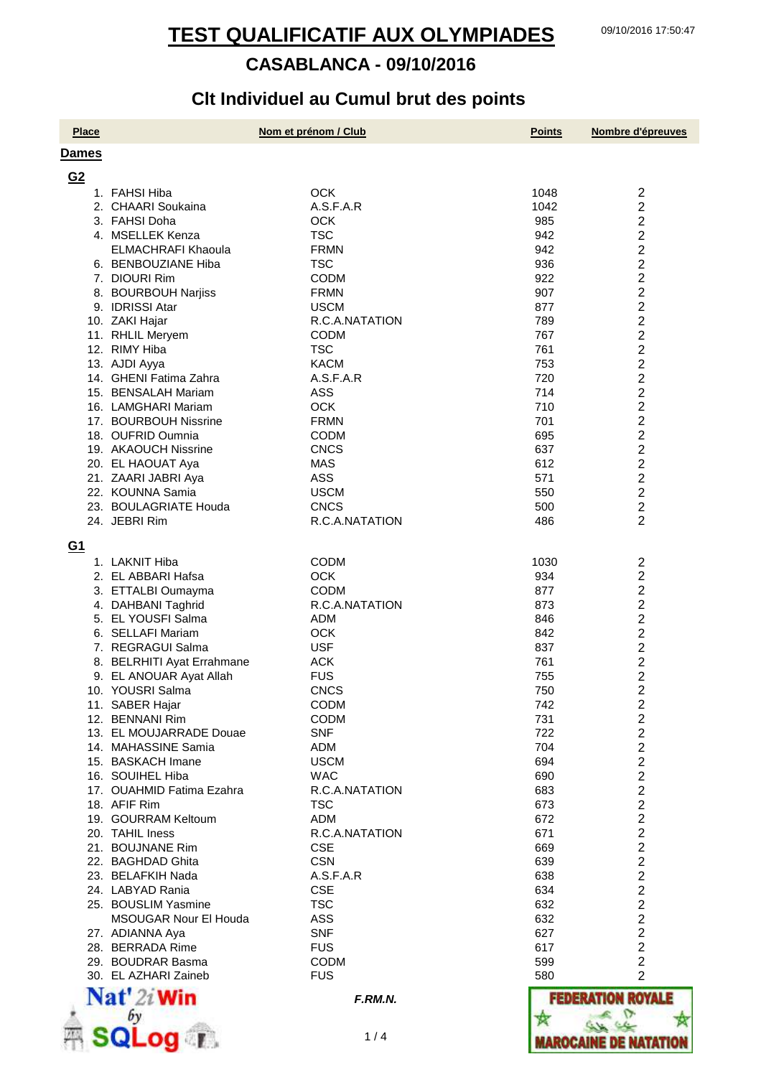# **Clt Individuel au Cumul brut des points**

| <b>Place</b>   |                                                | Nom et prénom / Club          | <b>Points</b> | Nombre d'épreuves                |
|----------------|------------------------------------------------|-------------------------------|---------------|----------------------------------|
| <b>Dames</b>   |                                                |                               |               |                                  |
| G <sub>2</sub> |                                                |                               |               |                                  |
|                | 1. FAHSI Hiba                                  | <b>OCK</b>                    | 1048          | $\overline{c}$                   |
|                | 2. CHAARI Soukaina                             | A.S.F.A.R                     | 1042          | $\overline{2}$                   |
|                | 3. FAHSI Doha                                  | <b>OCK</b>                    | 985           | $\overline{2}$                   |
|                | 4. MSELLEK Kenza                               | <b>TSC</b>                    | 942           | $\overline{2}$                   |
|                | <b>ELMACHRAFI Khaoula</b>                      | <b>FRMN</b>                   | 942           | $\overline{2}$                   |
|                | 6. BENBOUZIANE Hiba                            | <b>TSC</b>                    | 936           | $\overline{2}$                   |
|                | 7. DIOURI Rim                                  | <b>CODM</b>                   | 922           | $\overline{2}$                   |
|                | 8. BOURBOUH Narjiss                            | <b>FRMN</b>                   | 907           | $\overline{2}$                   |
|                | 9. IDRISSI Atar                                | <b>USCM</b>                   | 877           | $\overline{2}$<br>$\overline{2}$ |
|                | 10. ZAKI Hajar<br>11. RHLIL Meryem             | R.C.A.NATATION<br><b>CODM</b> | 789<br>767    | $\overline{2}$                   |
|                | 12. RIMY Hiba                                  | <b>TSC</b>                    | 761           | $\overline{2}$                   |
|                | 13. AJDI Ayya                                  | <b>KACM</b>                   | 753           | $\overline{c}$                   |
|                | 14. GHENI Fatima Zahra                         | A.S.F.A.R                     | 720           | $\overline{\mathbf{c}}$          |
|                | 15. BENSALAH Mariam                            | <b>ASS</b>                    | 714           | $\overline{\mathbf{c}}$          |
|                | 16. LAMGHARI Mariam                            | <b>OCK</b>                    | 710           | $\overline{c}$                   |
|                | 17. BOURBOUH Nissrine                          | <b>FRMN</b>                   | 701           | $\frac{2}{2}$                    |
|                | 18. OUFRID Oumnia                              | <b>CODM</b>                   | 695           |                                  |
|                | 19. AKAOUCH Nissrine                           | <b>CNCS</b>                   | 637           | $\overline{2}$                   |
|                | 20. EL HAOUAT Aya                              | <b>MAS</b>                    | 612           | $\overline{2}$                   |
|                | 21. ZAARI JABRI Aya                            | <b>ASS</b>                    | 571           | $\overline{2}$                   |
|                | 22. KOUNNA Samia                               | <b>USCM</b>                   | 550           | $\overline{2}$                   |
|                | 23. BOULAGRIATE Houda                          | <b>CNCS</b>                   | 500           | $\overline{2}$                   |
|                | 24. JEBRI Rim                                  | R.C.A.NATATION                | 486           | $\overline{2}$                   |
| <u>G1</u>      |                                                |                               |               |                                  |
|                | 1. LAKNIT Hiba                                 | CODM                          | 1030          | $\overline{\mathbf{c}}$          |
|                | 2. EL ABBARI Hafsa                             | <b>OCK</b>                    | 934           | $\overline{2}$                   |
|                | 3. ETTALBI Oumayma                             | <b>CODM</b>                   | 877           | $\overline{\mathbf{c}}$          |
|                | 4. DAHBANI Taghrid                             | R.C.A.NATATION                | 873           | $\overline{c}$                   |
|                | 5. EL YOUSFI Salma                             | ADM                           | 846           | $\overline{c}$                   |
|                | 6. SELLAFI Mariam                              | <b>OCK</b>                    | 842           | $\overline{c}$                   |
|                | 7. REGRAGUI Salma                              | <b>USF</b>                    | 837           | $\boldsymbol{2}$                 |
|                | 8. BELRHITI Ayat Errahmane                     | <b>ACK</b>                    | 761           | $\frac{2}{2}$                    |
|                | 9. EL ANOUAR Ayat Allah                        | <b>FUS</b>                    | 755           |                                  |
|                | 10. YOUSRI Salma                               | <b>CNCS</b>                   | 750           | $\overline{2}$                   |
|                | 11. SABER Hajar                                | <b>CODM</b>                   | 742           | $\overline{c}$                   |
|                | 12. BENNANI Rim                                | <b>CODM</b>                   | 731           | $\overline{2}$<br>$\overline{2}$ |
|                | 13. EL MOUJARRADE Douae<br>14. MAHASSINE Samia | <b>SNF</b><br><b>ADM</b>      | 722<br>704    | $\overline{2}$                   |
|                | 15. BASKACH Imane                              | <b>USCM</b>                   | 694           | $\overline{2}$                   |
|                | 16. SOUIHEL Hiba                               | <b>WAC</b>                    | 690           | $\overline{2}$                   |
|                | 17. OUAHMID Fatima Ezahra                      | R.C.A.NATATION                | 683           | $\overline{2}$                   |
|                | 18. AFIF Rim                                   | <b>TSC</b>                    | 673           | $\overline{2}$                   |
|                | 19. GOURRAM Keltoum                            | <b>ADM</b>                    | 672           | $\overline{2}$                   |
|                | 20. TAHIL Iness                                | R.C.A.NATATION                | 671           | $\overline{2}$                   |
|                | 21. BOUJNANE Rim                               | <b>CSE</b>                    | 669           | $\overline{c}$                   |
|                | 22. BAGHDAD Ghita                              | <b>CSN</b>                    | 639           | $\overline{c}$                   |
|                | 23. BELAFKIH Nada                              | A.S.F.A.R                     | 638           | $\frac{2}{2}$                    |
|                | 24. LABYAD Rania                               | <b>CSE</b>                    | 634           |                                  |
|                | 25. BOUSLIM Yasmine                            | <b>TSC</b>                    | 632           | $\frac{2}{2}$                    |
|                | <b>MSOUGAR Nour El Houda</b>                   | <b>ASS</b>                    | 632           |                                  |
|                | 27. ADIANNA Aya                                | <b>SNF</b>                    | 627           | $\overline{2}$                   |
|                | 28. BERRADA Rime                               | <b>FUS</b>                    | 617           | $\overline{2}$                   |
|                | 29. BOUDRAR Basma<br>30. EL AZHARI Zaineb      | <b>CODM</b><br><b>FUS</b>     | 599<br>580    | $\overline{2}$<br>$\overline{2}$ |
|                |                                                |                               |               |                                  |
|                | $\mathbf{Nat}'$ 2i Win                         | F.RM.N.                       |               | <b>I ROYALE</b>                  |
|                |                                                |                               |               |                                  |
|                | QLog T                                         | 1/4                           |               | KAROCAINE DE NATATI              |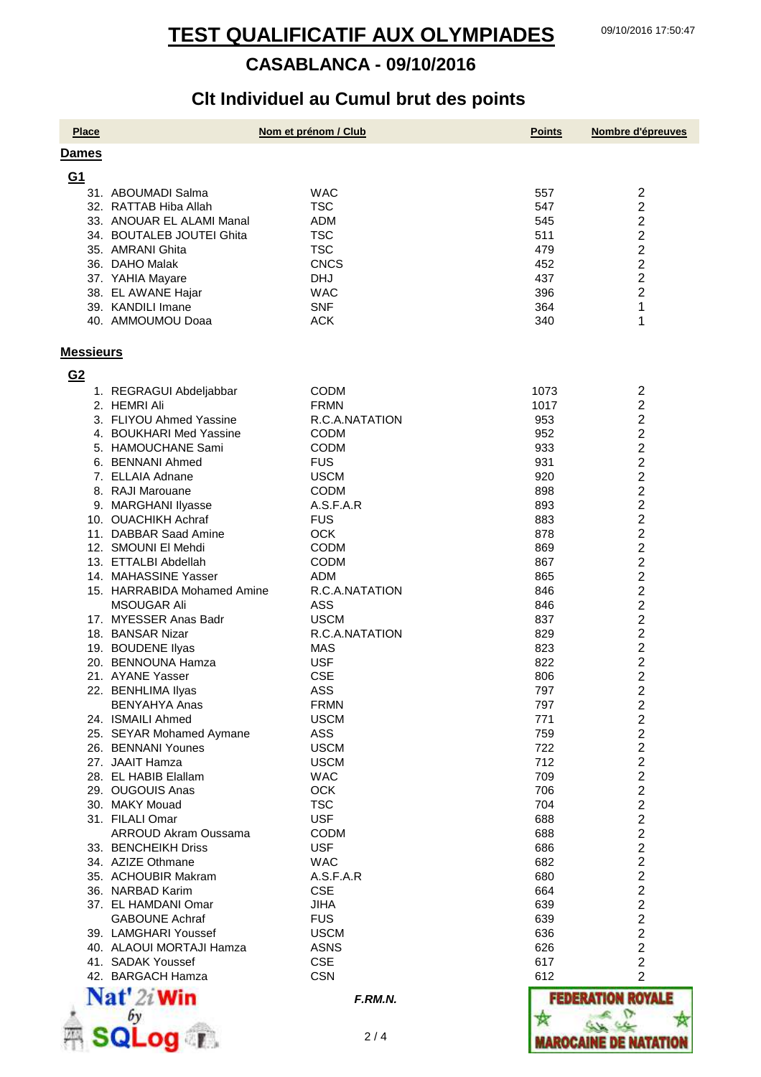# **Clt Individuel au Cumul brut des points**

| <b>Place</b>     |                             | Nom et prénom / Club | <b>Points</b> | Nombre d'épreuves            |
|------------------|-----------------------------|----------------------|---------------|------------------------------|
| Dames            |                             |                      |               |                              |
| G <sub>1</sub>   |                             |                      |               |                              |
|                  | 31. ABOUMADI Salma          | <b>WAC</b>           | 557           | $\overline{\mathbf{c}}$      |
|                  | 32. RATTAB Hiba Allah       | <b>TSC</b>           | 547           | $\overline{2}$               |
|                  | 33. ANOUAR EL ALAMI Manal   | <b>ADM</b>           | 545           | $\overline{c}$               |
|                  | 34. BOUTALEB JOUTEI Ghita   | <b>TSC</b>           | 511           | $\overline{\mathbf{c}}$      |
|                  | 35. AMRANI Ghita            | <b>TSC</b>           | 479           | $\overline{c}$               |
|                  | 36. DAHO Malak              | <b>CNCS</b>          | 452           | $\overline{2}$               |
|                  | 37. YAHIA Mayare            | <b>DHJ</b>           | 437           | $\overline{2}$               |
|                  | 38. EL AWANE Hajar          | <b>WAC</b>           | 396           | 2                            |
|                  | 39. KANDILI Imane           | <b>SNF</b>           | 364           | 1                            |
|                  | 40. AMMOUMOU Doaa           | <b>ACK</b>           | 340           | 1                            |
|                  |                             |                      |               |                              |
| <b>Messieurs</b> |                             |                      |               |                              |
| G <sub>2</sub>   |                             |                      |               |                              |
|                  | 1. REGRAGUI Abdeljabbar     | <b>CODM</b>          | 1073          | 2                            |
|                  | 2. HEMRI Ali                | <b>FRMN</b>          | 1017          | $\overline{c}$               |
|                  | 3. FLIYOU Ahmed Yassine     | R.C.A.NATATION       | 953           | 2                            |
|                  | 4. BOUKHARI Med Yassine     | <b>CODM</b>          | 952           | $\overline{2}$               |
|                  | 5. HAMOUCHANE Sami          | <b>CODM</b>          | 933           | $\overline{2}$               |
|                  | 6. BENNANI Ahmed            | <b>FUS</b>           | 931           | $\overline{c}$               |
|                  | 7. ELLAIA Adnane            | <b>USCM</b>          | 920           | $\overline{\mathbf{c}}$      |
|                  | 8. RAJI Marouane            | <b>CODM</b>          | 898           | $\overline{\mathbf{c}}$      |
|                  | 9. MARGHANI Ilyasse         | A.S.F.A.R            | 893           | $\overline{\mathbf{c}}$      |
|                  | 10. OUACHIKH Achraf         | <b>FUS</b>           | 883           | $\overline{\mathbf{c}}$      |
|                  | 11. DABBAR Saad Amine       | <b>OCK</b>           | 878           | $\overline{\mathbf{c}}$      |
|                  | 12. SMOUNI El Mehdi         | <b>CODM</b>          | 869           | $\overline{2}$               |
|                  | 13. ETTALBI Abdellah        | <b>CODM</b>          | 867           | 2                            |
|                  | 14. MAHASSINE Yasser        | <b>ADM</b>           | 865           | $\overline{\mathbf{c}}$      |
|                  | 15. HARRABIDA Mohamed Amine | R.C.A.NATATION       | 846           | $\overline{\mathbf{c}}$      |
|                  | <b>MSOUGAR Ali</b>          | ASS                  | 846           | $\overline{2}$               |
|                  | 17. MYESSER Anas Badr       | <b>USCM</b>          | 837           | 2                            |
|                  | 18. BANSAR Nizar            | R.C.A.NATATION       | 829           | $\overline{2}$               |
|                  | 19. BOUDENE llyas           | MAS                  | 823           | 2                            |
|                  | 20. BENNOUNA Hamza          | <b>USF</b>           | 822           | $\overline{\mathbf{c}}$      |
|                  | 21. AYANE Yasser            | <b>CSE</b>           | 806           | 2                            |
|                  | 22. BENHLIMA Ilyas          | ASS                  | 797           | っ                            |
|                  | <b>BENYAHYA Anas</b>        | <b>FRMN</b>          | 797           | ∼<br>$\overline{\mathbf{c}}$ |
|                  | 24. ISMAILI Ahmed           | <b>USCM</b>          | 771           | $\overline{\mathbf{c}}$      |
|                  | 25. SEYAR Mohamed Aymane    | ASS                  | 759           | $\overline{\mathbf{c}}$      |
|                  | 26. BENNANI Younes          | <b>USCM</b>          | 722           | $\overline{c}$               |
|                  | 27. JAAIT Hamza             | <b>USCM</b>          | 712           | $\overline{c}$               |
|                  | 28. EL HABIB Elallam        | <b>WAC</b>           | 709           | $\overline{\mathbf{c}}$      |
|                  | 29. OUGOUIS Anas            | <b>OCK</b>           | 706           |                              |
|                  | 30. MAKY Mouad              | <b>TSC</b>           | 704           | $\frac{2}{2}$                |
|                  | 31. FILALI Omar             | <b>USF</b>           | 688           | $\overline{\mathbf{c}}$      |
|                  | <b>ARROUD Akram Oussama</b> | <b>CODM</b>          | 688           | $\overline{\mathbf{c}}$      |
|                  | 33. BENCHEIKH Driss         | <b>USF</b>           | 686           | $\overline{c}$               |
|                  | 34. AZIZE Othmane           | <b>WAC</b>           | 682           | $\overline{c}$               |
|                  | 35. ACHOUBIR Makram         | A.S.F.A.R            | 680           | $\overline{\mathbf{c}}$      |
|                  | 36. NARBAD Karim            | <b>CSE</b>           | 664           | $\overline{\mathbf{c}}$      |
|                  | 37. EL HAMDANI Omar         | <b>JIHA</b>          | 639           | $\overline{\mathbf{c}}$      |
|                  | <b>GABOUNE Achraf</b>       | <b>FUS</b>           | 639           | 2                            |
|                  | 39. LAMGHARI Youssef        | <b>USCM</b>          | 636           | 2                            |
|                  | 40. ALAOUI MORTAJI Hamza    | <b>ASNS</b>          | 626           | 2                            |
|                  | 41. SADAK Youssef           | <b>CSE</b>           | 617           | 2                            |
|                  | 42. BARGACH Hamza           | <b>CSN</b>           | 612           | $\overline{2}$               |
|                  | Nat' 2i Win                 | F.RM.N.              | FEDERAT       | <b>ROYALE</b>                |
|                  |                             |                      |               |                              |
|                  |                             |                      |               |                              |
|                  | $\blacksquare$              | 2/4                  |               | AROCAINE DE NATAT            |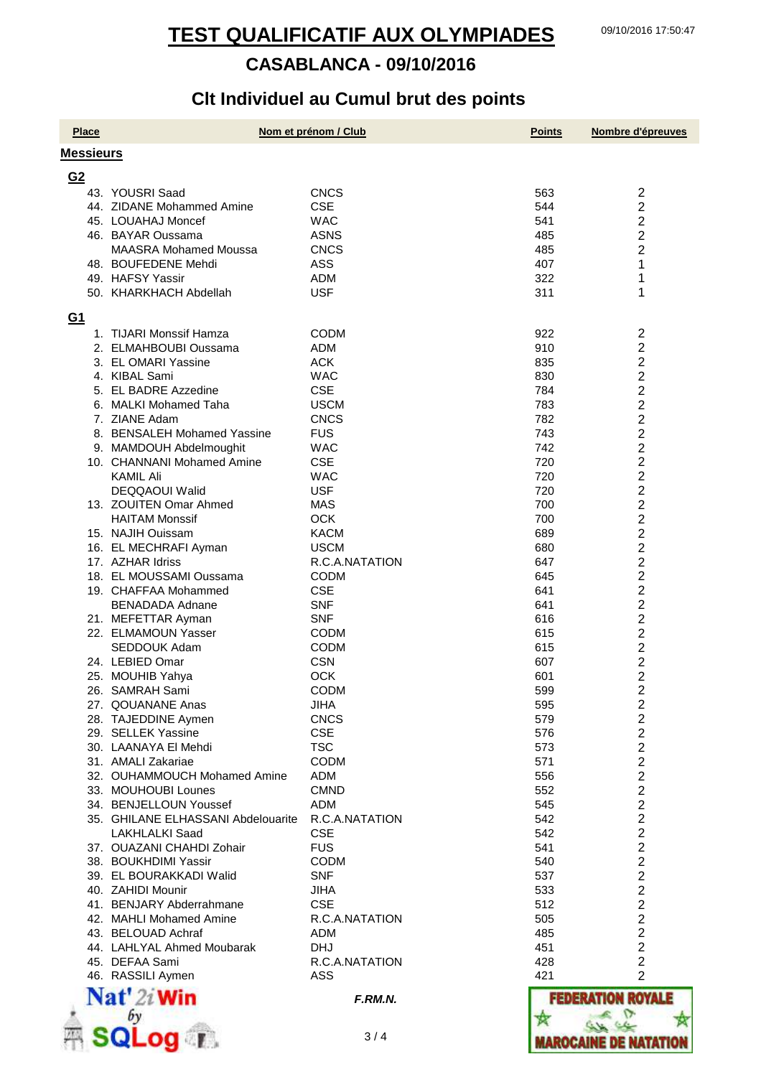# **Clt Individuel au Cumul brut des points**

| <b>Place</b>     |                                      | Nom et prénom / Club     | <b>Points</b> | Nombre d'épreuves                                  |
|------------------|--------------------------------------|--------------------------|---------------|----------------------------------------------------|
| <b>Messieurs</b> |                                      |                          |               |                                                    |
| G <sub>2</sub>   |                                      |                          |               |                                                    |
|                  | 43. YOUSRI Saad                      | <b>CNCS</b>              | 563           | $\overline{c}$                                     |
|                  | 44. ZIDANE Mohammed Amine            | <b>CSE</b>               | 544           | $\overline{2}$                                     |
|                  | 45. LOUAHAJ Moncef                   | <b>WAC</b>               | 541           | $\overline{2}$                                     |
|                  | 46. BAYAR Oussama                    | <b>ASNS</b>              | 485           | 2                                                  |
|                  | <b>MAASRA Mohamed Moussa</b>         | <b>CNCS</b>              | 485           | 2                                                  |
|                  | 48. BOUFEDENE Mehdi                  | <b>ASS</b>               | 407           | 1                                                  |
|                  | 49. HAFSY Yassir                     | ADM                      | 322           | 1                                                  |
|                  | 50. KHARKHACH Abdellah               | <b>USF</b>               | 311           | 1                                                  |
|                  |                                      |                          |               |                                                    |
| <u>G1</u>        |                                      |                          |               |                                                    |
|                  | 1. TIJARI Monssif Hamza              | <b>CODM</b>              | 922           | $\overline{c}$                                     |
|                  | 2. ELMAHBOUBI Oussama                | <b>ADM</b>               | 910           | $\overline{c}$                                     |
|                  | 3. EL OMARI Yassine                  | <b>ACK</b>               | 835           | $\overline{\mathbf{c}}$                            |
|                  | 4. KIBAL Sami                        | <b>WAC</b>               | 830           | $\overline{2}$                                     |
|                  | 5. EL BADRE Azzedine                 | <b>CSE</b>               | 784           | $\overline{2}$                                     |
|                  | 6. MALKI Mohamed Taha                | <b>USCM</b>              | 783           | $\overline{2}$                                     |
|                  | 7. ZIANE Adam                        | <b>CNCS</b>              | 782           | $\overline{2}$                                     |
|                  | 8. BENSALEH Mohamed Yassine          | <b>FUS</b>               | 743           | $\overline{2}$                                     |
|                  | 9. MAMDOUH Abdelmoughit              | <b>WAC</b>               | 742           | 2                                                  |
|                  | 10. CHANNANI Mohamed Amine           | <b>CSE</b>               | 720           | $\overline{\mathbf{c}}$                            |
|                  | <b>KAMIL Ali</b>                     | <b>WAC</b>               | 720           | $\overline{\mathbf{c}}$                            |
|                  | DEQQAOUI Walid                       | <b>USF</b>               | 720           | $\overline{2}$                                     |
|                  | 13. ZOUITEN Omar Ahmed               | <b>MAS</b>               | 700           | $\overline{2}$                                     |
|                  | <b>HAITAM Monssif</b>                | <b>OCK</b>               | 700           | 2                                                  |
|                  | 15. NAJIH Ouissam                    | <b>KACM</b>              | 689           | $\overline{2}$                                     |
|                  | 16. EL MECHRAFI Ayman                | <b>USCM</b>              | 680           | $\overline{2}$                                     |
|                  | 17. AZHAR Idriss                     | R.C.A.NATATION           | 647           | 2                                                  |
|                  | 18. EL MOUSSAMI Oussama              | <b>CODM</b>              | 645           | $\overline{\mathbf{c}}$                            |
|                  | 19. CHAFFAA Mohammed                 | <b>CSE</b>               | 641           | $\overline{c}$                                     |
|                  | <b>BENADADA Adnane</b>               | <b>SNF</b>               | 641           | $\overline{2}$                                     |
|                  | 21. MEFETTAR Ayman                   | <b>SNF</b>               | 616           | $\overline{\mathbf{c}}$                            |
|                  | 22. ELMAMOUN Yasser                  | <b>CODM</b>              | 615           | $\overline{2}$                                     |
|                  | SEDDOUK Adam                         | <b>CODM</b>              | 615           | $\overline{2}$                                     |
|                  | 24. LEBIED Omar                      | <b>CSN</b><br><b>OCK</b> | 607           | 2                                                  |
|                  | 25. MOUHIB Yahya                     | <b>CODM</b>              | 601<br>599    | 2<br>2                                             |
|                  | 26. SAMRAH Sami<br>27. QOUANANE Anas | <b>JIHA</b>              |               |                                                    |
|                  | 28. TAJEDDINE Aymen                  | <b>CNCS</b>              | 595           | $\overline{\mathbf{c}}$                            |
|                  | 29. SELLEK Yassine                   | <b>CSE</b>               | 579<br>576    | $\overline{\mathbf{c}}$<br>$\overline{\mathbf{c}}$ |
|                  | 30. LAANAYA El Mehdi                 | <b>TSC</b>               | 573           | $\overline{2}$                                     |
|                  | 31. AMALI Zakariae                   | <b>CODM</b>              | 571           | $\overline{2}$                                     |
|                  | 32. OUHAMMOUCH Mohamed Amine         | <b>ADM</b>               | 556           | $\overline{2}$                                     |
|                  | 33. MOUHOUBI Lounes                  | <b>CMND</b>              | 552           | $\overline{2}$                                     |
|                  | 34. BENJELLOUN Youssef               | <b>ADM</b>               | 545           | $\overline{2}$                                     |
|                  | 35. GHILANE ELHASSANI Abdelouarite   | R.C.A.NATATION           | 542           | $\overline{\mathbf{c}}$                            |
|                  | LAKHLALKI Saad                       | <b>CSE</b>               | 542           |                                                    |
|                  | 37. OUAZANI CHAHDI Zohair            | <b>FUS</b>               | 541           | 2<br>2<br>2                                        |
|                  | 38. BOUKHDIMI Yassir                 | <b>CODM</b>              | 540           |                                                    |
|                  | 39. EL BOURAKKADI Walid              | <b>SNF</b>               | 537           | $\overline{2}$                                     |
|                  | 40. ZAHIDI Mounir                    | <b>JIHA</b>              | 533           | $\overline{2}$                                     |
|                  | 41. BENJARY Abderrahmane             | <b>CSE</b>               | 512           | $\overline{2}$                                     |
|                  | 42. MAHLI Mohamed Amine              | R.C.A.NATATION           | 505           | $\overline{c}$                                     |
|                  | 43. BELOUAD Achraf                   | ADM                      | 485           | $\overline{\mathbf{c}}$                            |
|                  | 44. LAHLYAL Ahmed Moubarak           | <b>DHJ</b>               | 451           | $\overline{\mathbf{c}}$                            |
|                  | 45. DEFAA Sami                       | R.C.A.NATATION           | 428           | $\overline{2}$                                     |
|                  | 46. RASSILI Aymen                    | ASS                      | 421           | $\overline{2}$                                     |
|                  |                                      |                          |               |                                                    |
|                  | $\mathbf{Nat}'$ 2i Win               | F.RM.N.                  |               | <b>FEDERATION ROYALE</b>                           |
|                  |                                      |                          |               |                                                    |